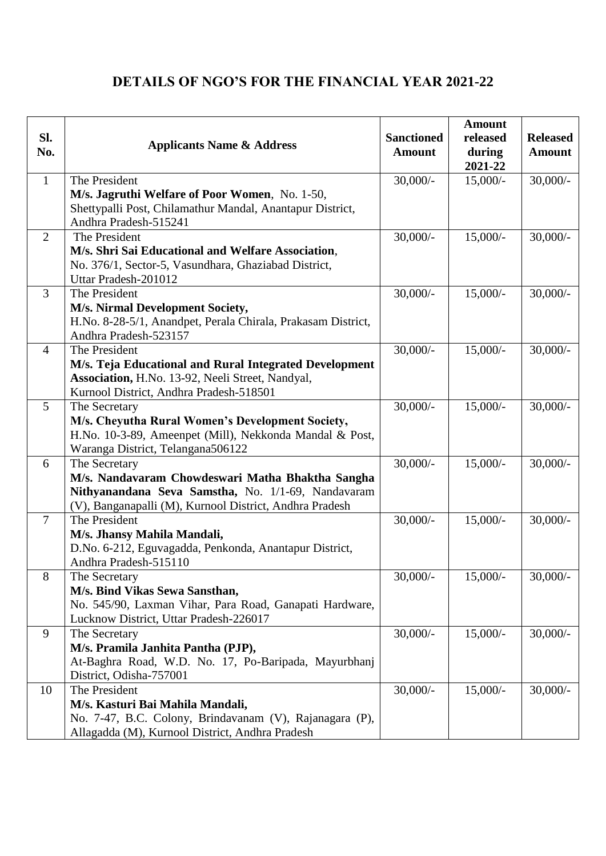## **DETAILS OF NGO'S FOR THE FINANCIAL YEAR 2021-22**

| SI.<br>No.      | <b>Applicants Name &amp; Address</b>                                                                   | <b>Sanctioned</b><br><b>Amount</b> | <b>Amount</b><br>released<br>during<br>2021-22 | <b>Released</b><br><b>Amount</b> |
|-----------------|--------------------------------------------------------------------------------------------------------|------------------------------------|------------------------------------------------|----------------------------------|
| $\mathbf{1}$    | The President                                                                                          | $30,000/$ -                        | $15,000/-$                                     | $30,000/$ -                      |
|                 | M/s. Jagruthi Welfare of Poor Women, No. 1-50,                                                         |                                    |                                                |                                  |
|                 | Shettypalli Post, Chilamathur Mandal, Anantapur District,<br>Andhra Pradesh-515241                     |                                    |                                                |                                  |
| $\overline{2}$  | The President                                                                                          | $30,000/$ -                        | $15,000/-$                                     | $30,000/$ -                      |
|                 | M/s. Shri Sai Educational and Welfare Association,                                                     |                                    |                                                |                                  |
|                 | No. 376/1, Sector-5, Vasundhara, Ghaziabad District,                                                   |                                    |                                                |                                  |
|                 | Uttar Pradesh-201012                                                                                   |                                    |                                                |                                  |
| 3               | The President                                                                                          | $30,000/$ -                        | $15,000/-$                                     | $30,000/$ -                      |
|                 | M/s. Nirmal Development Society,                                                                       |                                    |                                                |                                  |
|                 | H.No. 8-28-5/1, Anandpet, Perala Chirala, Prakasam District,                                           |                                    |                                                |                                  |
| $\overline{4}$  | Andhra Pradesh-523157<br>The President                                                                 | $30,000/$ -                        | $15,000/-$                                     | $30,000/$ -                      |
|                 | M/s. Teja Educational and Rural Integrated Development                                                 |                                    |                                                |                                  |
|                 | Association, H.No. 13-92, Neeli Street, Nandyal,                                                       |                                    |                                                |                                  |
|                 | Kurnool District, Andhra Pradesh-518501                                                                |                                    |                                                |                                  |
| $\mathfrak{S}$  | The Secretary                                                                                          | $30,000/$ -                        | $15,000/-$                                     | $30,000/$ -                      |
|                 | M/s. Cheyutha Rural Women's Development Society,                                                       |                                    |                                                |                                  |
|                 | H.No. 10-3-89, Ameenpet (Mill), Nekkonda Mandal & Post,                                                |                                    |                                                |                                  |
|                 | Waranga District, Telangana506122                                                                      |                                    |                                                |                                  |
| 6               | The Secretary                                                                                          | $30,000/$ -                        | $15,000/-$                                     | $30,000/$ -                      |
|                 | M/s. Nandavaram Chowdeswari Matha Bhaktha Sangha<br>Nithyanandana Seva Samstha, No. 1/1-69, Nandavaram |                                    |                                                |                                  |
|                 | (V), Banganapalli (M), Kurnool District, Andhra Pradesh                                                |                                    |                                                |                                  |
| $7\phantom{.0}$ | The President                                                                                          | $30,000/$ -                        | $15,000/-$                                     | $30,000/$ -                      |
|                 | M/s. Jhansy Mahila Mandali,                                                                            |                                    |                                                |                                  |
|                 | D.No. 6-212, Eguvagadda, Penkonda, Anantapur District,                                                 |                                    |                                                |                                  |
|                 | Andhra Pradesh-515110                                                                                  |                                    |                                                |                                  |
| 8               | The Secretary                                                                                          | $30,000/-$                         | $15,000/-$                                     | $30,000/$ -                      |
|                 | M/s. Bind Vikas Sewa Sansthan,                                                                         |                                    |                                                |                                  |
|                 | No. 545/90, Laxman Vihar, Para Road, Ganapati Hardware,<br>Lucknow District, Uttar Pradesh-226017      |                                    |                                                |                                  |
| 9               | The Secretary                                                                                          | $30,000/$ -                        | $15,000/-$                                     | $30,000/$ -                      |
|                 | M/s. Pramila Janhita Pantha (PJP),                                                                     |                                    |                                                |                                  |
|                 | At-Baghra Road, W.D. No. 17, Po-Baripada, Mayurbhanj                                                   |                                    |                                                |                                  |
|                 | District, Odisha-757001                                                                                |                                    |                                                |                                  |
| 10              | The President                                                                                          | $30,000/$ -                        | $15,000/-$                                     | $30,000/$ -                      |
|                 | M/s. Kasturi Bai Mahila Mandali,                                                                       |                                    |                                                |                                  |
|                 | No. 7-47, B.C. Colony, Brindavanam (V), Rajanagara (P),                                                |                                    |                                                |                                  |
|                 | Allagadda (M), Kurnool District, Andhra Pradesh                                                        |                                    |                                                |                                  |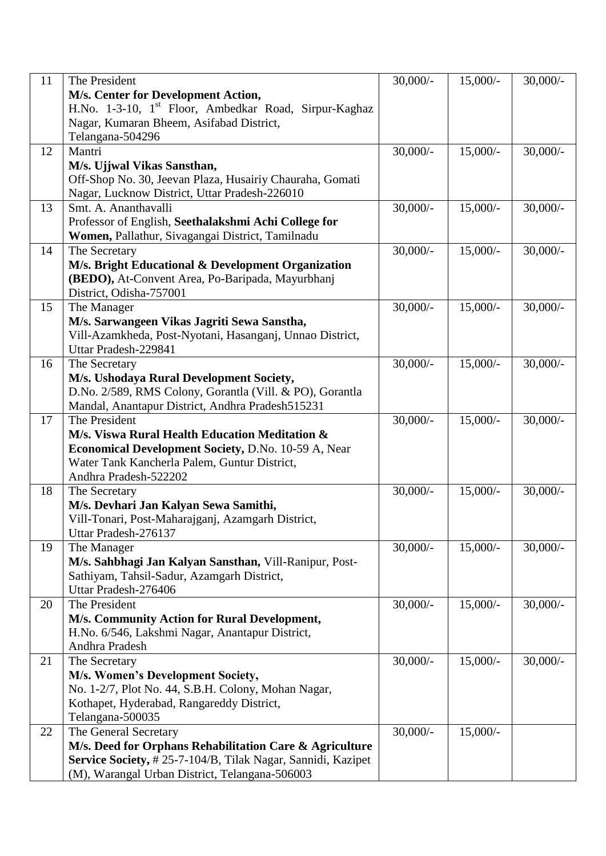| 11 | The President                                                     | $30,000/$ - | $15,000/-$ | $30,000/$ - |
|----|-------------------------------------------------------------------|-------------|------------|-------------|
|    | M/s. Center for Development Action,                               |             |            |             |
|    | H.No. 1-3-10, 1 <sup>st</sup> Floor, Ambedkar Road, Sirpur-Kaghaz |             |            |             |
|    | Nagar, Kumaran Bheem, Asifabad District,                          |             |            |             |
|    | Telangana-504296                                                  |             |            |             |
| 12 | Mantri                                                            | $30,000/$ - | $15,000/-$ | $30,000/$ - |
|    | M/s. Ujjwal Vikas Sansthan,                                       |             |            |             |
|    | Off-Shop No. 30, Jeevan Plaza, Husairiy Chauraha, Gomati          |             |            |             |
|    | Nagar, Lucknow District, Uttar Pradesh-226010                     |             |            |             |
| 13 | Smt. A. Ananthavalli                                              | $30,000/$ - | $15,000/-$ | $30,000/$ - |
|    | Professor of English, Seethalakshmi Achi College for              |             |            |             |
|    | Women, Pallathur, Sivagangai District, Tamilnadu                  |             |            |             |
| 14 | The Secretary                                                     | $30,000/$ - | $15,000/-$ | $30,000/$ - |
|    | M/s. Bright Educational & Development Organization                |             |            |             |
|    | (BEDO), At-Convent Area, Po-Baripada, Mayurbhanj                  |             |            |             |
|    | District, Odisha-757001                                           |             |            |             |
| 15 | The Manager                                                       | $30,000/$ - | $15,000/-$ | $30,000/$ - |
|    | M/s. Sarwangeen Vikas Jagriti Sewa Sanstha,                       |             |            |             |
|    | Vill-Azamkheda, Post-Nyotani, Hasanganj, Unnao District,          |             |            |             |
|    | Uttar Pradesh-229841                                              |             |            |             |
| 16 | The Secretary                                                     | $30,000/$ - | $15,000/-$ | $30,000/$ - |
|    | M/s. Ushodaya Rural Development Society,                          |             |            |             |
|    | D.No. 2/589, RMS Colony, Gorantla (Vill. & PO), Gorantla          |             |            |             |
|    | Mandal, Anantapur District, Andhra Pradesh515231                  |             |            |             |
| 17 | The President                                                     | $30,000/$ - | $15,000/-$ | $30,000/$ - |
|    | M/s. Viswa Rural Health Education Meditation &                    |             |            |             |
|    | Economical Development Society, D.No. 10-59 A, Near               |             |            |             |
|    | Water Tank Kancherla Palem, Guntur District,                      |             |            |             |
|    | Andhra Pradesh-522202                                             |             |            |             |
| 18 | The Secretary                                                     | $30,000/$ - | $15,000/-$ | $30,000/$ - |
|    | M/s. Devhari Jan Kalyan Sewa Samithi,                             |             |            |             |
|    | Vill-Tonari, Post-Maharajganj, Azamgarh District,                 |             |            |             |
|    | Uttar Pradesh-276137                                              |             |            |             |
| 19 | The Manager                                                       | $30,000/$ - | $15,000/-$ | $30,000/$ - |
|    | M/s. Sahbhagi Jan Kalyan Sansthan, Vill-Ranipur, Post-            |             |            |             |
|    | Sathiyam, Tahsil-Sadur, Azamgarh District,                        |             |            |             |
|    | Uttar Pradesh-276406                                              |             |            |             |
| 20 | The President                                                     | $30,000/$ - | $15,000/-$ | $30,000/$ - |
|    | M/s. Community Action for Rural Development,                      |             |            |             |
|    | H.No. 6/546, Lakshmi Nagar, Anantapur District,                   |             |            |             |
|    | Andhra Pradesh                                                    |             |            |             |
| 21 | The Secretary                                                     | $30,000/$ - | $15,000/-$ | $30,000/-$  |
|    | M/s. Women's Development Society,                                 |             |            |             |
|    | No. 1-2/7, Plot No. 44, S.B.H. Colony, Mohan Nagar,               |             |            |             |
|    | Kothapet, Hyderabad, Rangareddy District,                         |             |            |             |
|    | Telangana-500035                                                  |             |            |             |
| 22 | The General Secretary                                             | $30,000/$ - | $15,000/-$ |             |
|    | M/s. Deed for Orphans Rehabilitation Care & Agriculture           |             |            |             |
|    | Service Society, #25-7-104/B, Tilak Nagar, Sannidi, Kazipet       |             |            |             |
|    | (M), Warangal Urban District, Telangana-506003                    |             |            |             |